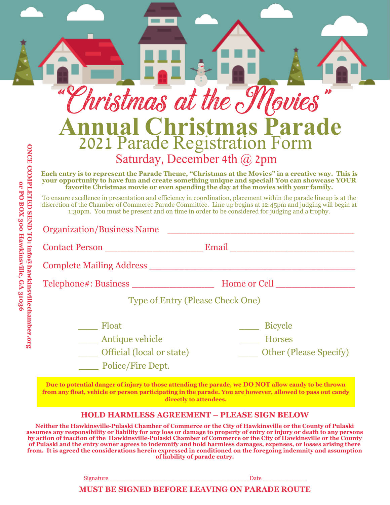| Phristmas at the Movies           |                                                                                                                                                                                                                                                                                                                                 |
|-----------------------------------|---------------------------------------------------------------------------------------------------------------------------------------------------------------------------------------------------------------------------------------------------------------------------------------------------------------------------------|
|                                   | <b>Annual Christmas Parade</b><br>2021 Parade Registration Form                                                                                                                                                                                                                                                                 |
|                                   |                                                                                                                                                                                                                                                                                                                                 |
|                                   | Saturday, December 4th @ 2pm                                                                                                                                                                                                                                                                                                    |
|                                   | Each entry is to represent the Parade Theme, "Christmas at the Movies" in a creative way. This is<br>your opportunity to have fun and create something unique and special! You can showcase YOUR<br>favorite Christmas movie or even spending the day at the movies with your family.                                           |
|                                   | To ensure excellence in presentation and efficiency in coordination, placement within the parade lineup is at the<br>discretion of the Chamber of Commerce Parade Committee. Line up begins at 12:45pm and judging will begin at<br>1:30pm. You must be present and on time in order to be considered for judging and a trophy. |
| <b>Organization/Business Name</b> |                                                                                                                                                                                                                                                                                                                                 |
|                                   |                                                                                                                                                                                                                                                                                                                                 |
|                                   |                                                                                                                                                                                                                                                                                                                                 |
|                                   |                                                                                                                                                                                                                                                                                                                                 |
|                                   |                                                                                                                                                                                                                                                                                                                                 |
|                                   | Type of Entry (Please Check One)                                                                                                                                                                                                                                                                                                |
| Float                             | <b>Bicycle</b>                                                                                                                                                                                                                                                                                                                  |
| Antique vehicle                   | <b>Horses</b>                                                                                                                                                                                                                                                                                                                   |

**Due to potential danger of injury to those attending the parade, we DO NOT allow candy to be thrown from any float, vehicle or person participating in the parade. You are however, allowed to pass out candy directly to attendees.**

## **HOLD HARMLESS AGREEMENT – PLEASE SIGN BELOW**

**Neither the Hawkinsville-Pulaski Chamber of Commerce or the City of Hawkinsville or the County of Pulaski assumes any responsibility or liability for any loss or damage to property of entry or injury or death to any persons by action of inaction of the Hawkinsville-Pulaski Chamber of Commerce or the City of Hawkinsville or the County of Pulaski and the entry owner agrees to indemnify and hold harmless damages, expenses, or losses arising there from. It is agreed the considerations herein expressed in conditioned on the foregoing indemnity and assumption of liability of parade entry.**

Signature  $\Box$ 

## **MUST BE SIGNED BEFORE LEAVING ON PARADE ROUTE**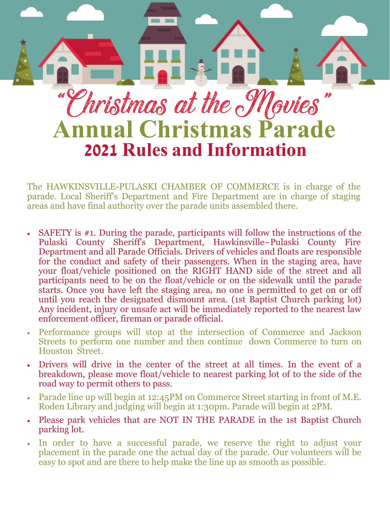

The HAWKINSVILLE-PULASKI CHAMBER OF COMMERCE is in charge of the parade. Local Sheriff's Department and Fire Department are in charge of staging areas and have final authority over the parade units assembled there.

- SAFETY is #1. During the parade, participants will follow the instructions of the Pulaski County Sheriff's Department, Hawkinsville–Pulaski County Fire Department and all Parade Officials. Drivers of vehicles and floats are responsible for the conduct and safety of their passengers. When in the staging area, have your float/vehicle positioned on the RIGHT HAND side of the street and all participants need to be on the float/vehicle or on the sidewalk until the parade starts. Once you have left the staging area, no one is permitted to get on or off until you reach the designated dismount area. (1st Baptist Church parking lot) Any incident, injury or unsafe act will be immediately reported to the nearest law enforcement officer, fireman or parade official.
- Performance groups will stop at the intersection of Commerce and Jackson Streets to perform one number and then continue down Commerce to turn on Houston Street.
- Drivers will drive in the center of the street at all times. In the event of a breakdown, please move float/vehicle to nearest parking lot of to the side of the road way to permit others to pass.
- Parade line up will begin at 12:45PM on Commerce Street starting in front of M.E. Roden Library and judging will begin at 1:30pm. Parade will begin at 2PM.
- Please park vehicles that are NOT IN THE PARADE in the 1st Baptist Church parking lot.
- In order to have a successful parade, we reserve the right to adjust your placement in the parade one the actual day of the parade. Our volunteers will be easy to spot and are there to help make the line up as smooth as possible.